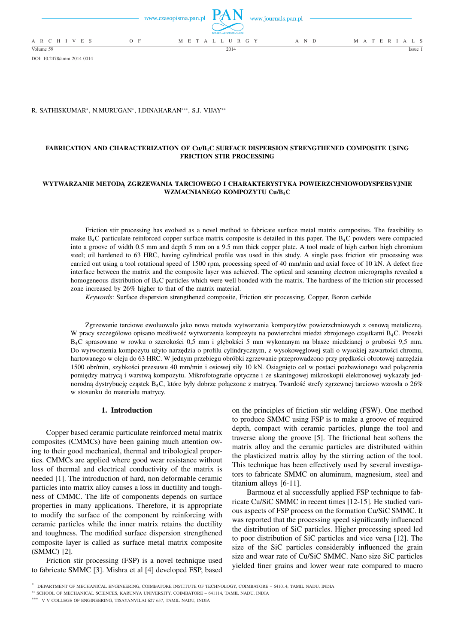|                 |       | www.czasopisma.pan.pl $TAN$ www.journals.pan.pl<br>POLSKA AKADEMIA NAUK |       |                   |
|-----------------|-------|-------------------------------------------------------------------------|-------|-------------------|
| A R C H I V E S | $O$ F | M E T A L L U R G Y                                                     | A N D | M A T E R I A L S |
| Volume 59       |       | 2014                                                                    |       | Issue             |

DOI: 10.2478/amm-2014-0014

## R. SATHISKUMAR\*, N.MURUGAN\*, I.DINAHARAN\*\*\*, S.J. VIJAY\*\*

## **FABRICATION AND CHARACTERIZATION OF Cu/B**4**C SURFACE DISPERSION STRENGTHENED COMPOSITE USING FRICTION STIR PROCESSING**

## **WYTWARZANIE METODĄ ZGRZEWANIA TARCIOWEGO I CHARAKTERYSTYKA POWIERZCHNIOWODYSPERSYJNIE WZMACNIANEGO KOMPOZYTU Cu/B**4**C**

Friction stir processing has evolved as a novel method to fabricate surface metal matrix composites. The feasibility to make B4C particulate reinforced copper surface matrix composite is detailed in this paper. The B4C powders were compacted into a groove of width 0.5 mm and depth 5 mm on a 9.5 mm thick copper plate. A tool made of high carbon high chromium steel; oil hardened to 63 HRC, having cylindrical profile was used in this study. A single pass friction stir processing was carried out using a tool rotational speed of 1500 rpm, processing speed of 40 mm/min and axial force of 10 kN. A defect free interface between the matrix and the composite layer was achieved. The optical and scanning electron micrographs revealed a homogeneous distribution of B4C particles which were well bonded with the matrix. The hardness of the friction stir processed zone increased by 26% higher to that of the matrix material.

*Keywords*: Surface dispersion strengthened composite, Friction stir processing, Copper, Boron carbide

Zgrzewanie tarciowe ewoluowało jako nowa metoda wytwarzania kompozytów powierzchniowych z osnową metaliczną. W pracy szczegółowo opisano możliwość wytworzenia kompozytu na powierzchni miedzi zbrojonego cząstkami B4C. Proszki B4C sprasowano w rowku o szerokości 0,5 mm i głębokści 5 mm wykonanym na blasze miedzianej o grubości 9,5 mm. Do wytworzenia kompozytu użyto narzędzia o profilu cylindrycznym, z wysokowęglowej stali o wysokiej zawartości chromu, hartowanego w oleju do 63 HRC. W jednym przebiegu obróbki zgrzewanie przeprowadzono przy prędkości obrotowej narzędzia 1500 obr/min, szybkości przesuwu 40 mm/min i osiowej siły 10 kN. Osiągnięto cel w postaci pozbawionego wad połączenia pomiędzy matrycą i warstwą kompozytu. Mikrofotografie optyczne i ze skaningowej mikroskopii elektronowej wykazały jednorodną dystrybucję cząstek B4C, które były dobrze połączone z matrycą. Twardość strefy zgrzewnej tarciowo wzrosła o 26% w stosunku do materiału matrycy.

## **1. Introduction**

Copper based ceramic particulate reinforced metal matrix composites (CMMCs) have been gaining much attention owing to their good mechanical, thermal and tribological properties. CMMCs are applied where good wear resistance without loss of thermal and electrical conductivity of the matrix is needed [1]. The introduction of hard, non deformable ceramic particles into matrix alloy causes a loss in ductility and toughness of CMMC. The life of components depends on surface properties in many applications. Therefore, it is appropriate to modify the surface of the component by reinforcing with ceramic particles while the inner matrix retains the ductility and toughness. The modified surface dispersion strengthened composite layer is called as surface metal matrix composite (SMMC) [2].

Friction stir processing (FSP) is a novel technique used to fabricate SMMC [3]. Mishra et al [4] developed FSP, based on the principles of friction stir welding (FSW). One method to produce SMMC using FSP is to make a groove of required depth, compact with ceramic particles, plunge the tool and traverse along the groove [5]. The frictional heat softens the matrix alloy and the ceramic particles are distributed within the plasticized matrix alloy by the stirring action of the tool. This technique has been effectively used by several investigators to fabricate SMMC on aluminum, magnesium, steel and titanium alloys [6-11].

Barmouz et al successfully applied FSP technique to fabricate Cu/SiC SMMC in recent times [12-15]. He studied various aspects of FSP process on the formation Cu/SiC SMMC. It was reported that the processing speed significantly influenced the distribution of SiC particles. Higher processing speed led to poor distribution of SiC particles and vice versa [12]. The size of the SiC particles considerably influenced the grain size and wear rate of Cu/SiC SMMC. Nano size SiC particles yielded finer grains and lower wear rate compared to macro

<sup>∗</sup> DEPARTMENT OF MECHANICAL ENGINEERING, COIMBATORE INSTITUTE OF TECHNOLOGY, COIMBATORE – 641014, TAMIL NADU, INDIA

<sup>∗∗</sup> SCHOOL OF MECHANICAL SCIENCES, KARUNYA UNIVERSITY, COIMBATORE – 641114, TAMIL NADU, INDIA

<sup>∗∗∗</sup> V V COLLEGE OF ENGINEERING, TISAYANVILAI 627 657, TAMIL NADU, INDIA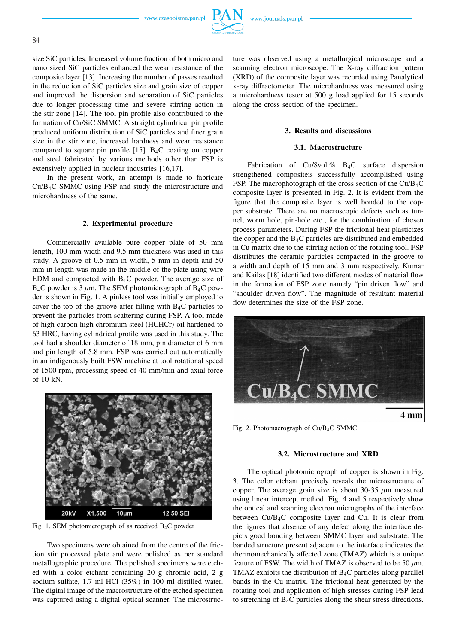www.czasopisma.pan.pl



size SiC particles. Increased volume fraction of both micro and nano sized SiC particles enhanced the wear resistance of the composite layer [13]. Increasing the number of passes resulted in the reduction of SiC particles size and grain size of copper and improved the dispersion and separation of SiC particles due to longer processing time and severe stirring action in the stir zone [14]. The tool pin profile also contributed to the formation of Cu/SiC SMMC. A straight cylindrical pin profile produced uniform distribution of SiC particles and finer grain size in the stir zone, increased hardness and wear resistance compared to square pin profile  $[15]$ . B<sub>4</sub>C coating on copper and steel fabricated by various methods other than FSP is extensively applied in nuclear industries [16,17].

In the present work, an attempt is made to fabricate Cu/B4C SMMC using FSP and study the microstructure and microhardness of the same.

## **2. Experimental procedure**

Commercially available pure copper plate of 50 mm length, 100 mm width and 9.5 mm thickness was used in this study. A groove of 0.5 mm in width, 5 mm in depth and 50 mm in length was made in the middle of the plate using wire EDM and compacted with B4C powder. The average size of  $B_4C$  powder is 3  $\mu$ m. The SEM photomicrograph of B<sub>4</sub>C powder is shown in Fig. 1. A pinless tool was initially employed to cover the top of the groove after filling with  $B_4C$  particles to prevent the particles from scattering during FSP. A tool made of high carbon high chromium steel (HCHCr) oil hardened to 63 HRC, having cylindrical profile was used in this study. The tool had a shoulder diameter of 18 mm, pin diameter of 6 mm and pin length of 5.8 mm. FSP was carried out automatically in an indigenously built FSW machine at tool rotational speed of 1500 rpm, processing speed of 40 mm/min and axial force of 10 kN.



Fig. 1. SEM photomicrograph of as received  $B_4C$  powder

Two specimens were obtained from the centre of the friction stir processed plate and were polished as per standard metallographic procedure. The polished specimens were etched with a color etchant containing 20 g chromic acid, 2 g sodium sulfate, 1.7 ml HCl (35%) in 100 ml distilled water. The digital image of the macrostructure of the etched specimen was captured using a digital optical scanner. The microstructure was observed using a metallurgical microscope and a scanning electron microscope. The X-ray diffraction pattern (XRD) of the composite layer was recorded using Panalytical x-ray diffractometer. The microhardness was measured using a microhardness tester at 500 g load applied for 15 seconds along the cross section of the specimen.

# **3. Results and discussions**

## **3.1. Macrostructure**

Fabrication of Cu/8vol.% B4C surface dispersion strengthened compositeis successfully accomplished using FSP. The macrophotograph of the cross section of the Cu/B4C composite layer is presented in Fig. 2. It is evident from the figure that the composite layer is well bonded to the copper substrate. There are no macroscopic defects such as tunnel, worm hole, pin-hole etc., for the combination of chosen process parameters. During FSP the frictional heat plasticizes the copper and the B4C particles are distributed and embedded in Cu matrix due to the stirring action of the rotating tool. FSP distributes the ceramic particles compacted in the groove to a width and depth of 15 mm and 3 mm respectively. Kumar and Kailas [18] identified two different modes of material flow in the formation of FSP zone namely "pin driven flow" and "shoulder driven flow". The magnitude of resultant material flow determines the size of the FSP zone.



Fig. 2. Photomacrograph of Cu/B4C SMMC

# **3.2. Microstructure and XRD**

The optical photomicrograph of copper is shown in Fig. 3. The color etchant precisely reveals the microstructure of copper. The average grain size is about 30-35  $\mu$ m measured using linear intercept method. Fig. 4 and 5 respectively show the optical and scanning electron micrographs of the interface between Cu/B4C composite layer and Cu. It is clear from the figures that absence of any defect along the interface depicts good bonding between SMMC layer and substrate. The banded structure present adjacent to the interface indicates the thermomechanically affected zone (TMAZ) which is a unique feature of FSW. The width of TMAZ is observed to be 50  $\mu$ m. TMAZ exhibits the distribution of B4C particles along parallel bands in the Cu matrix. The frictional heat generated by the rotating tool and application of high stresses during FSP lead to stretching of B4C particles along the shear stress directions.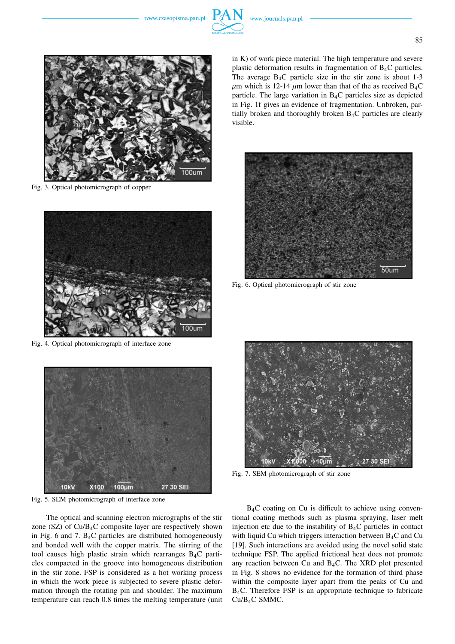

Fig. 3. Optical photomicrograph of copper



Fig. 4. Optical photomicrograph of interface zone



Fig. 5. SEM photomicrograph of interface zone

The optical and scanning electron micrographs of the stir zone  $(SZ)$  of  $Cu/B<sub>4</sub>C$  composite layer are respectively shown in Fig. 6 and 7.  $B_4C$  particles are distributed homogeneously and bonded well with the copper matrix. The stirring of the tool causes high plastic strain which rearranges B4C particles compacted in the groove into homogeneous distribution in the stir zone. FSP is considered as a hot working process in which the work piece is subjected to severe plastic deformation through the rotating pin and shoulder. The maximum temperature can reach 0.8 times the melting temperature (unit

in K) of work piece material. The high temperature and severe plastic deformation results in fragmentation of B4C particles. The average  $B_4C$  particle size in the stir zone is about 1-3  $\mu$ m which is 12-14  $\mu$ m lower than that of the as received B<sub>4</sub>C particle. The large variation in B4C particles size as depicted in Fig. 1f gives an evidence of fragmentation. Unbroken, partially broken and thoroughly broken  $B_4C$  particles are clearly visible.



Fig. 6. Optical photomicrograph of stir zone



Fig. 7. SEM photomicrograph of stir zone

 $B_4C$  coating on Cu is difficult to achieve using conventional coating methods such as plasma spraying, laser melt injection etc due to the instability of  $B_4C$  particles in contact with liquid Cu which triggers interaction between  $B_4C$  and Cu [19]. Such interactions are avoided using the novel solid state technique FSP. The applied frictional heat does not promote any reaction between Cu and  $B_4C$ . The XRD plot presented in Fig. 8 shows no evidence for the formation of third phase within the composite layer apart from the peaks of Cu and B4C. Therefore FSP is an appropriate technique to fabricate Cu/B4C SMMC.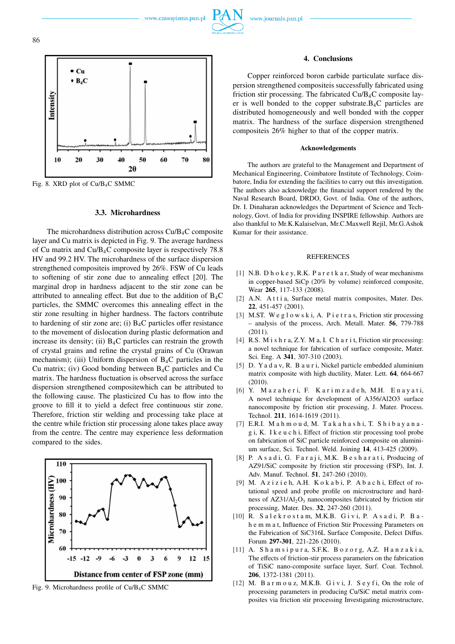



Fig. 8. XRD plot of Cu/B4C SMMC

## **3.3. Microhardness**

The microhardness distribution across  $Cu/B<sub>4</sub>C$  composite layer and Cu matrix is depicted in Fig. 9. The average hardness of Cu matrix and Cu/B4C composite layer is respectively 78.8 HV and 99.2 HV. The microhardness of the surface dispersion strengthened compositeis improved by 26%. FSW of Cu leads to softening of stir zone due to annealing effect [20]. The marginal drop in hardness adjacent to the stir zone can be attributed to annealing effect. But due to the addition of  $B_4C$ particles, the SMMC overcomes this annealing effect in the stir zone resulting in higher hardness. The factors contribute to hardening of stir zone are; (i)  $B_4C$  particles offer resistance to the movement of dislocation during plastic deformation and increase its density; (ii)  $B_4C$  particles can restrain the growth of crystal grains and refine the crystal grains of Cu (Orawan mechanism); (iii) Uniform dispersion of  $B_4C$  particles in the Cu matrix; (iv) Good bonding between  $B_4C$  particles and Cu matrix. The hardness fluctuation is observed across the surface dispersion strengthened compositewhich can be attributed to the following cause. The plasticized Cu has to flow into the groove to fill it to yield a defect free continuous stir zone. Therefore, friction stir welding and processing take place at the centre while friction stir processing alone takes place away from the centre. The centre may experience less deformation compared to the sides.



Fig. 9. Microhardness profile of Cu/B4C SMMC

#### **4. Conclusions**

Copper reinforced boron carbide particulate surface dispersion strengthened compositeis successfully fabricated using friction stir processing. The fabricated Cu/B4C composite layer is well bonded to the copper substrate.B4C particles are distributed homogeneously and well bonded with the copper matrix. The hardness of the surface dispersion strengthened compositeis 26% higher to that of the copper matrix.

#### **Acknowledgements**

The authors are grateful to the Management and Department of Mechanical Engineering, Coimbatore Institute of Technology, Coimbatore, India for extending the facilities to carry out this investigation. The authors also acknowledge the financial support rendered by the Naval Research Board, DRDO, Govt. of India. One of the authors, Dr. I. Dinaharan acknowledges the Department of Science and Technology, Govt. of India for providing INSPIRE fellowship. Authors are also thankful to Mr.K.Kalaiselvan, Mr.C.Maxwell Rejil, Mr.G.Ashok Kumar for their assistance.

#### REFERENCES

- [1] N.B. D h o k e y, R.K. P a r e t k a r, Study of wear mechanisms in copper-based SiCp (20% by volume) reinforced composite, Wear **265**, 117-133 (2008).
- [2] A.N. Atti a, Surface metal matrix composites, Mater. Des. **22**, 451-457 (2001).
- [3] M.ST. We g l o w s k i, A. P i e t r a s, Friction stir processing – analysis of the process, Arch. Metall. Mater. **56**, 779-788 (2011).
- [4] R.S. M i s h r a, Z.Y. M a, I. C h a r i t, Friction stir processing: a novel technique for fabrication of surface composite, Mater. Sci. Eng. A **341**, 307-310 (2003).
- [5] D. Ya d a v, R. B a u r i, Nickel particle embedded aluminium matrix composite with high ductility, Mater. Lett. **64**, 664-667 (2010).
- [6] Y. M a z a h e r i, F. K a r i m z a d e h, M.H. E n a y a t i, A novel technique for development of A356/Al2O3 surface nanocomposite by friction stir processing, J. Mater. Process. Technol. **211**, 1614-1619 (2011).
- [7] E.R.I. M a h m o u d, M. T a k a h a s h i, T. S h i b a y a n a g i, K. I k e u c h i, Effect of friction stir processing tool probe on fabrication of SiC particle reinforced composite on aluminium surface, Sci. Technol. Weld. Joining **14**, 413-425 (2009).
- [8] P. A s a d i, G. F a r a j i, M.K. B e s h a r a t i, Producing of AZ91/SiC composite by friction stir processing (FSP), Int. J. Adv. Manuf. Technol. **51**, 247-260 (2010).
- [9] M. Azizieh, A.H. Kokabi, P. Abachi, Effect of rotational speed and probe profile on microstructure and hardness of  $AZ31/Al<sub>2</sub>O<sub>3</sub>$  nanocomposites fabricated by friction stir processing, Mater. Des. **32**, 247-260 (2011).
- [10] R. Salekrostam, M.K.B. Givi, P. Asadi, P. Bah e m m a t, Influence of Friction Stir Processing Parameters on the Fabrication of SiC316L Surface Composite, Defect Diffus. Forum **297-301**, 221-226 (2010).
- [11] A. S h a m s i p u r a, S.F.K. B o z o r g, A.Z. H a n z a k i a, The effects of friction-stir process parameters on the fabrication of TiSiC nano-composite surface layer, Surf. Coat. Technol. **206**, 1372-1381 (2011).
- [12] M. Barmouz, M.K.B. Givi, J. Seyfi, On the role of processing parameters in producing Cu/SiC metal matrix composites via friction stir processing Investigating microstructure,

86